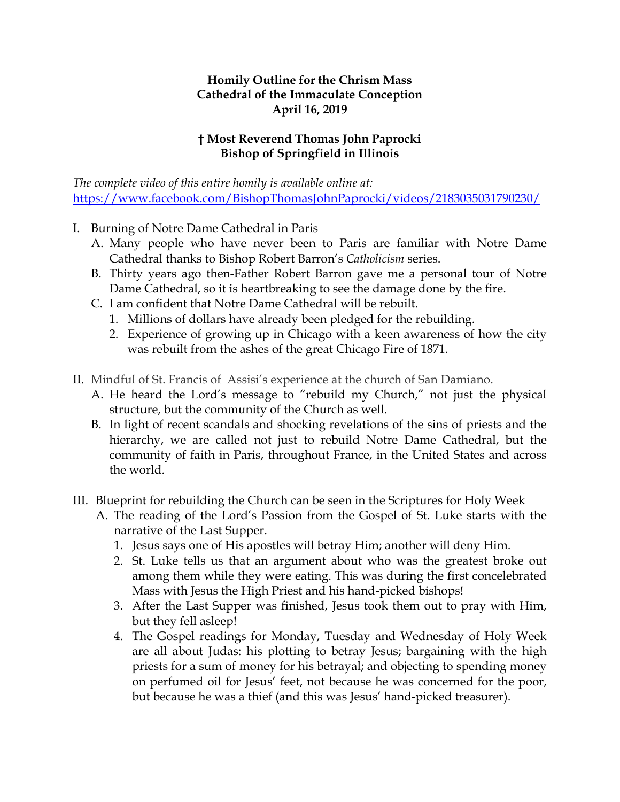## **Homily Outline for the Chrism Mass Cathedral of the Immaculate Conception April 16, 2019**

## **† Most Reverend Thomas John Paprocki Bishop of Springfield in Illinois**

*The complete video of this entire homily is available online at:*  <https://www.facebook.com/BishopThomasJohnPaprocki/videos/2183035031790230/>

- I. Burning of Notre Dame Cathedral in Paris
	- A. Many people who have never been to Paris are familiar with Notre Dame Cathedral thanks to Bishop Robert Barron's *Catholicism* series.
	- B. Thirty years ago then-Father Robert Barron gave me a personal tour of Notre Dame Cathedral, so it is heartbreaking to see the damage done by the fire.
	- C. I am confident that Notre Dame Cathedral will be rebuilt.
		- 1. Millions of dollars have already been pledged for the rebuilding.
		- 2. Experience of growing up in Chicago with a keen awareness of how the city was rebuilt from the ashes of the great Chicago Fire of 1871.
- II. Mindful of St. Francis of Assisi's experience at the church of San Damiano.
	- A. He heard the Lord's message to "rebuild my Church," not just the physical structure, but the community of the Church as well.
	- B. In light of recent scandals and shocking revelations of the sins of priests and the hierarchy, we are called not just to rebuild Notre Dame Cathedral, but the community of faith in Paris, throughout France, in the United States and across the world.
- III. Blueprint for rebuilding the Church can be seen in the Scriptures for Holy Week
	- A. The reading of the Lord's Passion from the Gospel of St. Luke starts with the narrative of the Last Supper.
		- 1. Jesus says one of His apostles will betray Him; another will deny Him.
		- 2. St. Luke tells us that an argument about who was the greatest broke out among them while they were eating. This was during the first concelebrated Mass with Jesus the High Priest and his hand-picked bishops!
		- 3. After the Last Supper was finished, Jesus took them out to pray with Him, but they fell asleep!
		- 4. The Gospel readings for Monday, Tuesday and Wednesday of Holy Week are all about Judas: his plotting to betray Jesus; bargaining with the high priests for a sum of money for his betrayal; and objecting to spending money on perfumed oil for Jesus' feet, not because he was concerned for the poor, but because he was a thief (and this was Jesus' hand-picked treasurer).